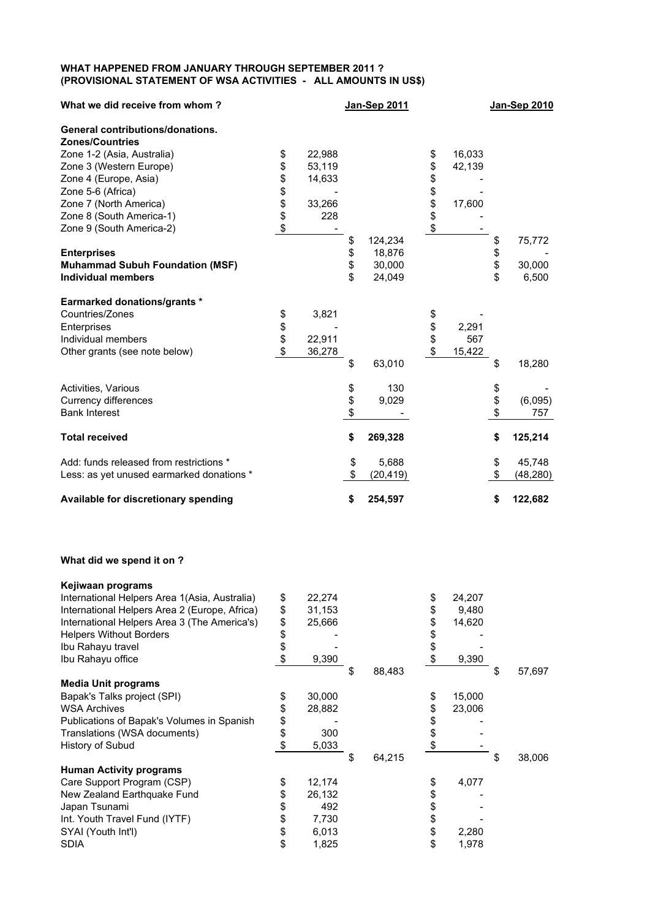## **WHAT HAPPENED FROM JANUARY THROUGH SEPTEMBER 2011 ? (PROVISIONAL STATEMENT OF WSA ACTIVITIES - ALL AMOUNTS IN US\$)**

| What we did receive from whom?            |      |        |          | <b>Jan-Sep 2011</b> |          |        | Jan-Sep 2010    |
|-------------------------------------------|------|--------|----------|---------------------|----------|--------|-----------------|
| <b>General contributions/donations.</b>   |      |        |          |                     |          |        |                 |
| <b>Zones/Countries</b>                    |      |        |          |                     |          |        |                 |
| Zone 1-2 (Asia, Australia)                | \$   | 22,988 |          |                     | \$       | 16,033 |                 |
| Zone 3 (Western Europe)                   | \$   | 53,119 |          |                     | \$       | 42,139 |                 |
| Zone 4 (Europe, Asia)                     | \$   | 14,633 |          |                     | \$       |        |                 |
| Zone 5-6 (Africa)                         | \$\$ |        |          |                     |          |        |                 |
| Zone 7 (North America)                    |      | 33,266 |          |                     | \$\$     | 17,600 |                 |
| Zone 8 (South America-1)                  |      | 228    |          |                     |          |        |                 |
| Zone 9 (South America-2)                  | \$   |        |          |                     | \$       |        |                 |
|                                           |      |        | \$       | 124,234             |          |        | \$<br>75,772    |
| <b>Enterprises</b>                        |      |        | \$       | 18,876              |          |        | \$              |
| <b>Muhammad Subuh Foundation (MSF)</b>    |      |        |          | 30,000              |          |        | \$<br>30,000    |
| <b>Individual members</b>                 |      |        | \$       | 24,049              |          |        | \$<br>6,500     |
| <b>Earmarked donations/grants *</b>       |      |        |          |                     |          |        |                 |
| Countries/Zones                           | \$   | 3,821  |          |                     | \$       |        |                 |
| Enterprises                               | \$   |        |          |                     |          | 2,291  |                 |
| Individual members                        | \$   | 22,911 |          |                     | \$<br>\$ | 567    |                 |
| Other grants (see note below)             | \$   | 36,278 |          |                     | \$       | 15,422 |                 |
|                                           |      |        | \$       | 63,010              |          |        | \$<br>18,280    |
| Activities, Various                       |      |        |          | 130                 |          |        | \$              |
| <b>Currency differences</b>               |      |        | \$<br>\$ | 9,029               |          |        | \$<br>(6,095)   |
| <b>Bank Interest</b>                      |      |        | \$       |                     |          |        | \$<br>757       |
| <b>Total received</b>                     |      |        | \$       | 269,328             |          |        | \$<br>125,214   |
| Add: funds released from restrictions *   |      |        | \$       | 5,688               |          |        | \$<br>45,748    |
| Less: as yet unused earmarked donations * |      |        | \$       | (20, 419)           |          |        | \$<br>(48, 280) |
|                                           |      |        |          |                     |          |        |                 |
| Available for discretionary spending      |      |        | \$       | 254,597             |          |        | \$<br>122,682   |

## **What did we spend it on ?**

| Kejiwaan programs                             |                           |        |              |    |        |              |
|-----------------------------------------------|---------------------------|--------|--------------|----|--------|--------------|
| International Helpers Area 1(Asia, Australia) | \$                        | 22,274 |              | \$ | 24,207 |              |
| International Helpers Area 2 (Europe, Africa) | \$                        | 31,153 |              | \$ | 9,480  |              |
| International Helpers Area 3 (The America's)  | \$                        | 25,666 |              | \$ | 14,620 |              |
| <b>Helpers Without Borders</b>                | \$                        |        |              | \$ |        |              |
| Ibu Rahayu travel                             | \$                        |        |              | \$ |        |              |
| Ibu Rahayu office                             | \$                        | 9,390  |              | \$ | 9,390  |              |
|                                               |                           |        | \$<br>88,483 |    |        | \$<br>57,697 |
| <b>Media Unit programs</b>                    |                           |        |              |    |        |              |
| Bapak's Talks project (SPI)                   | \$                        | 30,000 |              | \$ | 15,000 |              |
| <b>WSA Archives</b>                           | \$                        | 28,882 |              | \$ | 23,006 |              |
| Publications of Bapak's Volumes in Spanish    | \$                        |        |              | \$ |        |              |
| Translations (WSA documents)                  | \$                        | 300    |              | \$ |        |              |
| History of Subud                              | $\boldsymbol{\mathsf{S}}$ | 5,033  |              | S  |        |              |
|                                               |                           |        | \$<br>64,215 |    |        | 38,006       |
| <b>Human Activity programs</b>                |                           |        |              |    |        |              |
| Care Support Program (CSP)                    | \$                        | 12,174 |              | \$ | 4,077  |              |
| New Zealand Earthquake Fund                   | \$                        | 26,132 |              | \$ |        |              |
| Japan Tsunami                                 | \$                        | 492    |              | \$ |        |              |
| Int. Youth Travel Fund (IYTF)                 | \$                        | 7,730  |              | \$ |        |              |
| SYAI (Youth Int'l)                            | \$                        | 6,013  |              | \$ | 2,280  |              |
| <b>SDIA</b>                                   | \$                        | 1,825  |              | \$ | 1,978  |              |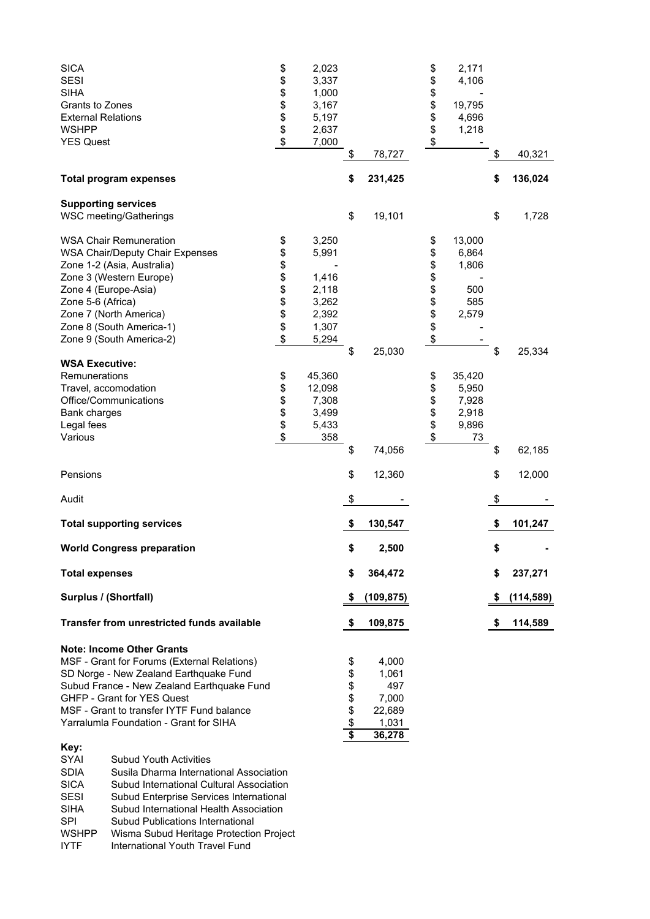| <b>SICA</b><br><b>SESI</b><br><b>SIHA</b><br>Grants to Zones<br><b>External Relations</b><br><b>WSHPP</b><br><b>YES Quest</b>                                                                                                                                                                      |                                                                                                                                                                                                                                                                                                                                                                                       | \$<br>\$<br>\$<br>\$\$<br>$\boldsymbol{\$}$ | 2,023<br>3,337<br>1,000<br>3,167<br>5,197<br>2,637<br>7,000          | \$                           | 78,727                                                      | \$<br>\$<br>\$<br>\$<br>\$<br>\$<br>\$ | 2,171<br>4,106<br>19,795<br>4,696<br>1,218       | \$       | 40,321           |
|----------------------------------------------------------------------------------------------------------------------------------------------------------------------------------------------------------------------------------------------------------------------------------------------------|---------------------------------------------------------------------------------------------------------------------------------------------------------------------------------------------------------------------------------------------------------------------------------------------------------------------------------------------------------------------------------------|---------------------------------------------|----------------------------------------------------------------------|------------------------------|-------------------------------------------------------------|----------------------------------------|--------------------------------------------------|----------|------------------|
| <b>Total program expenses</b>                                                                                                                                                                                                                                                                      |                                                                                                                                                                                                                                                                                                                                                                                       |                                             |                                                                      | \$                           | 231,425                                                     |                                        |                                                  | \$       | 136,024          |
| <b>Supporting services</b><br><b>WSC meeting/Gatherings</b>                                                                                                                                                                                                                                        |                                                                                                                                                                                                                                                                                                                                                                                       |                                             |                                                                      | \$                           | 19,101                                                      |                                        |                                                  | \$       | 1,728            |
| <b>WSA Chair Remuneration</b><br><b>WSA Chair/Deputy Chair Expenses</b><br>Zone 1-2 (Asia, Australia)<br>Zone 3 (Western Europe)<br>Zone 4 (Europe-Asia)<br>Zone 5-6 (Africa)<br>Zone 7 (North America)<br>Zone 8 (South America-1)<br>Zone 9 (South America-2)                                    |                                                                                                                                                                                                                                                                                                                                                                                       | \$<br>\$<br>\$<br>\$\$\$\$\$<br>\$          | 3,250<br>5,991<br>1,416<br>2,118<br>3,262<br>2,392<br>1,307<br>5,294 |                              |                                                             | \$<br>\$<br>\$<br>\$<br>\$<br>\$\$\$\$ | 13,000<br>6,864<br>1,806<br>500<br>585<br>2,579  |          |                  |
| <b>WSA Executive:</b><br>Remunerations<br>Travel, accomodation<br>Office/Communications<br><b>Bank charges</b><br>Legal fees<br>Various                                                                                                                                                            |                                                                                                                                                                                                                                                                                                                                                                                       | \$<br>\$<br>\$\$<br>\$                      | 45,360<br>12,098<br>7,308<br>3,499<br>5,433<br>358                   | \$<br>\$                     | 25,030<br>74,056                                            | \$<br>\$<br>\$\$<br>\$                 | 35,420<br>5,950<br>7,928<br>2,918<br>9,896<br>73 | \$<br>\$ | 25,334<br>62,185 |
| Pensions                                                                                                                                                                                                                                                                                           |                                                                                                                                                                                                                                                                                                                                                                                       |                                             |                                                                      | \$                           | 12,360                                                      |                                        |                                                  | \$       | 12,000           |
| Audit                                                                                                                                                                                                                                                                                              |                                                                                                                                                                                                                                                                                                                                                                                       |                                             |                                                                      | \$                           |                                                             |                                        |                                                  | \$       |                  |
| <b>Total supporting services</b>                                                                                                                                                                                                                                                                   |                                                                                                                                                                                                                                                                                                                                                                                       |                                             |                                                                      | \$                           | 130,547                                                     |                                        |                                                  | \$       | 101,247          |
| <b>World Congress preparation</b>                                                                                                                                                                                                                                                                  |                                                                                                                                                                                                                                                                                                                                                                                       |                                             |                                                                      | \$                           | 2,500                                                       |                                        |                                                  | \$       |                  |
| <b>Total expenses</b>                                                                                                                                                                                                                                                                              |                                                                                                                                                                                                                                                                                                                                                                                       |                                             |                                                                      | \$                           | 364,472                                                     |                                        |                                                  | \$       | 237,271          |
| Surplus / (Shortfall)                                                                                                                                                                                                                                                                              |                                                                                                                                                                                                                                                                                                                                                                                       |                                             |                                                                      | \$                           | (109, 875)                                                  |                                        |                                                  | \$       | (114, 589)       |
|                                                                                                                                                                                                                                                                                                    | <b>Transfer from unrestricted funds available</b>                                                                                                                                                                                                                                                                                                                                     |                                             |                                                                      | \$                           | 109,875                                                     |                                        |                                                  |          | 114,589          |
| <b>Note: Income Other Grants</b><br>SD Norge - New Zealand Earthquake Fund<br>GHFP - Grant for YES Quest<br>MSF - Grant to transfer IYTF Fund balance<br>Yarralumla Foundation - Grant for SIHA<br>Key:<br>SYAI<br><b>SDIA</b><br><b>SICA</b><br><b>SESI</b><br><b>SIHA</b><br>SPI<br><b>WSHPP</b> | MSF - Grant for Forums (External Relations)<br>Subud France - New Zealand Earthquake Fund<br><b>Subud Youth Activities</b><br>Susila Dharma International Association<br>Subud International Cultural Association<br>Subud Enterprise Services International<br>Subud International Health Association<br>Subud Publications International<br>Wisma Subud Heritage Protection Project |                                             |                                                                      | \$<br>\$<br>\$<br>\$\$<br>\$ | 4,000<br>1,061<br>497<br>7,000<br>22,689<br>1,031<br>36,278 |                                        |                                                  |          |                  |

IYTF International Youth Travel Fund